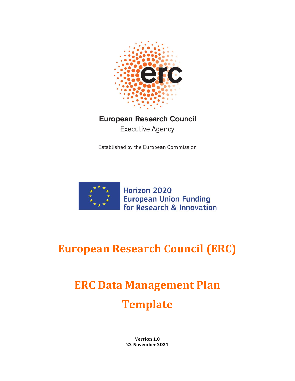

## **European Research Council Executive Agency**

Established by the European Commission



## **European Research Council (ERC)**

# **ERC Data Management Plan Template**

**Version 1.0 22 November 2021**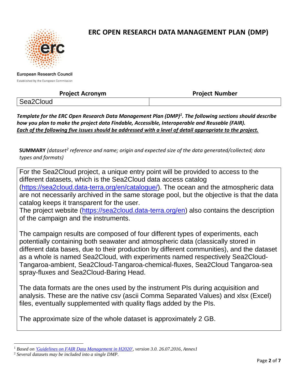

## **ERC OPEN RESEARCH DATA MANAGEMENT PLAN (DMP)**

**European Research Council** 

Established by the European Commission

### **Project Acronym Project Number**

Sea2Cloud

*Template for the ERC Open Research Data Management Plan (DMP)<sup>1</sup> . The following sections should describe how you plan to make the project data Findable, Accessible, Interoperable and Reusable (FAIR). Each of the following five issues should be addressed with a level of detail appropriate to the project.*

**SUMMARY** *(dataset<sup>2</sup> reference and name; origin and expected size of the data generated/collected; data types and formats)*

For the Sea2Cloud project, a unique entry point will be provided to access to the different datasets, which is the Sea2Cloud data access catalog [\(https://sea2cloud.data-terra.org/en/catalogue/\)](https://sea2cloud.data-terra.org/en/catalogue/). The ocean and the atmospheric data are not necessarily archived in the same storage pool, but the objective is that the data catalog keeps it transparent for the user.

The project website [\(https://sea2cloud.data-terra.org/en\)](https://sea2cloud.data-terra.org/en) also contains the description of the campaign and the instruments.

The campaign results are composed of four different types of experiments, each potentially containing both seawater and atmospheric data (classically stored in different data bases, due to their production by different communities), and the dataset as a whole is named Sea2Cloud, with experiments named respectively Sea2Cloud-Tangaroa-ambient, Sea2Cloud-Tangaroa-chemical-fluxes, Sea2Cloud Tangaroa-sea spray-fluxes and Sea2Cloud-Baring Head.

The data formats are the ones used by the instrument PIs during acquisition and analysis. These are the native csv (ascii Comma Separated Values) and xlsx (Excel) files, eventually supplemented with quality flags added by the PIs.

The approximate size of the whole dataset is approximately 2 GB.

l <sup>1</sup> *Based on ['Guidelines on FAIR Data Management in H2020',](http://ec.europa.eu/research/participants/data/ref/h2020/grants_manual/hi/oa_pilot/h2020-hi-oa-data-mgt_en.pdf) version 3.0. 26.07.2016, Annex1*

<sup>2</sup> *Several datasets may be included into a single DMP.*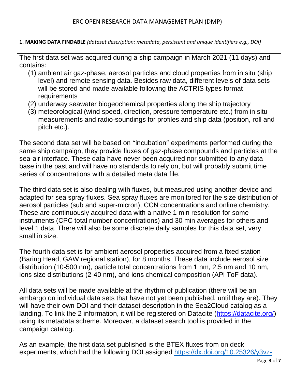**1. MAKING DATA FINDABLE** *(dataset description: metadata, persistent and unique identifiers e.g., DOI)*

The first data set was acquired during a ship campaign in March 2021 (11 days) and contains:

- (1) ambient air gaz-phase, aerosol particles and cloud properties from in situ (ship level) and remote sensing data. Besides raw data, different levels of data sets will be stored and made available following the ACTRIS types format **requirements**
- (2) underway seawater biogeochemical properties along the ship trajectory
- (3) meteorological (wind speed, direction, pressure temperature etc.) from in situ measurements and radio-soundings for profiles and ship data (position, roll and pitch etc.).

The second data set will be based on "incubation" experiments performed during the same ship campaign, they provide fluxes of gaz-phase compounds and particles at the sea-air interface. These data have never been acquired nor submitted to any data base in the past and will have no standards to rely on, but will probably submit time series of concentrations with a detailed meta data file.

The third data set is also dealing with fluxes, but measured using another device and adapted for sea spray fluxes. Sea spray fluxes are monitored for the size distribution of aerosol particles (sub and super-micron), CCN concentrations and online chemistry. These are continuously acquired data with a native 1 min resolution for some instruments (CPC total number concentrations) and 30 min averages for others and level 1 data. There will also be some discrete daily samples for this data set, very small in size.

The fourth data set is for ambient aerosol properties acquired from a fixed station (Baring Head, GAW regional station), for 8 months. These data include aerosol size distribution (10-500 nm), particle total concentrations from 1 nm, 2.5 nm and 10 nm, ions size distributions (2-40 nm), and ions chemical composition (APi ToF data).

All data sets will be made available at the rhythm of publication (there will be an embargo on individual data sets that have not yet been published, until they are). They will have their own DOI and their dataset description in the Sea2Cloud catalog as a landing. To link the 2 information, it will be registered on Datacite [\(https://datacite.org/\)](https://datacite.org/) using its metadata scheme. Moreover, a dataset search tool is provided in the campaign catalog.

As an example, the first data set published is the BTEX fluxes from on deck experiments, which had the following DOI assigned [https://dx.doi.org/10.25326/y3vz-](https://dx.doi.org/10.25326/y3vz-sp14)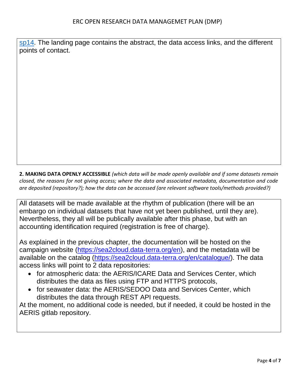[sp14.](https://dx.doi.org/10.25326/y3vz-sp14) The landing page contains the abstract, the data access links, and the different points of contact.

**2. MAKING DATA OPENLY ACCESSIBLE** *(which data will be made openly available and if some datasets remain closed, the reasons for not giving access; where the data and associated metadata, documentation and code are deposited (repository?); how the data can be accessed (are relevant software tools/methods provided?)*

All datasets will be made available at the rhythm of publication (there will be an embargo on individual datasets that have not yet been published, until they are). Nevertheless, they all will be publically available after this phase, but with an accounting identification required (registration is free of charge).

As explained in the previous chapter, the documentation will be hosted on the campaign website [\(https://sea2cloud.data-terra.org/en\)](https://sea2cloud.data-terra.org/en), and the metadata will be available on the catalog [\(https://sea2cloud.data-terra.org/en/catalogue/\)](https://sea2cloud.data-terra.org/en/catalogue/). The data access links will point to 2 data repositories:

- for atmospheric data: the AERIS/ICARE Data and Services Center, which distributes the data as files using FTP and HTTPS protocols,
- for seawater data: the AERIS/SEDOO Data and Services Center, which distributes the data through REST API requests.

At the moment, no additional code is needed, but if needed, it could be hosted in the AERIS gitlab repository.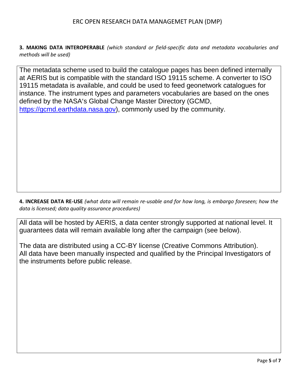#### ERC OPEN RESEARCH DATA MANAGEMET PLAN (DMP)

**3. MAKING DATA INTEROPERABLE** *(which standard or field-specific data and metadata vocabularies and methods will be used)*

The metadata scheme used to build the catalogue pages has been defined internally at AERIS but is compatible with the standard ISO 19115 scheme. A converter to ISO 19115 metadata is available, and could be used to feed geonetwork catalogues for instance. The instrument types and parameters vocabularies are based on the ones defined by the NASA's Global Change Master Directory (GCMD, [https://gcmd.earthdata.nasa.gov\)](https://gcmd.earthdata.nasa.gov/), commonly used by the community.

**4. INCREASE DATA RE-USE** *(what data will remain re-usable and for how long, is embargo foreseen; how the data is licensed; data quality assurance procedures)* 

All data will be hosted by AERIS, a data center strongly supported at national level. It guarantees data will remain available long after the campaign (see below).

The data are distributed using a CC-BY license (Creative Commons Attribution). All data have been manually inspected and qualified by the Principal Investigators of the instruments before public release.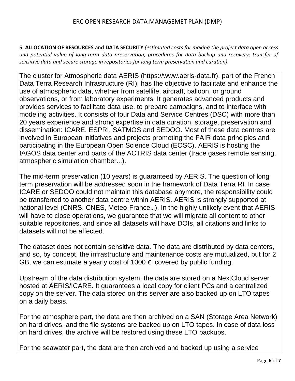#### ERC OPEN RESEARCH DATA MANAGEMET PLAN (DMP)

**5. ALLOCATION OF RESOURCES and DATA SECURITY** *(estimated costs for making the project data open access and potential value of long-term data preservation; procedures for data backup and recovery; transfer of sensitive data and secure storage in repositories for long term preservation and curation)*

The cluster for Atmospheric data AERIS (https://www.aeris-data.fr), part of the French Data Terra Research Infrastructure (RI), has the objective to facilitate and enhance the use of atmospheric data, whether from satellite, aircraft, balloon, or ground observations, or from laboratory experiments. It generates advanced products and provides services to facilitate data use, to prepare campaigns, and to interface with modeling activities. It consists of four Data and Service Centres (DSC) with more than 20 years experience and strong expertise in data curation, storage, preservation and dissemination: ICARE, ESPRI, SATMOS and SEDOO. Most of these data centres are involved in European initiatives and projects promoting the FAIR data principles and participating in the European Open Science Cloud (EOSC). AERIS is hosting the IAGOS data center and parts of the ACTRIS data center (trace gases remote sensing, atmospheric simulation chamber...).

The mid-term preservation (10 years) is guaranteed by AERIS. The question of long term preservation will be addressed soon in the framework of Data Terra RI. In case ICARE or SEDOO could not maintain this database anymore, the responsibility could be transferred to another data centre within AERIS. AERIS is strongly supported at national level (CNRS, CNES, Meteo-France…). In the highly unlikely event that AERIS will have to close operations, we guarantee that we will migrate all content to other suitable repositories, and since all datasets will have DOIs, all citations and links to datasets will not be affected.

The dataset does not contain sensitive data. The data are distributed by data centers, and so, by concept, the infrastructure and maintenance costs are mutualized, but for 2 GB, we can estimate a yearly cost of 1000  $€$ , covered by public funding.

Upstream of the data distribution system, the data are stored on a NextCloud server hosted at AERIS/ICARE. It guarantees a local copy for client PCs and a centralized copy on the server. The data stored on this server are also backed up on LTO tapes on a daily basis.

For the atmosphere part, the data are then archived on a SAN (Storage Area Network) on hard drives, and the file systems are backed up on LTO tapes. In case of data loss on hard drives, the archive will be restored using these LTO backups.

For the seawater part, the data are then archived and backed up using a service